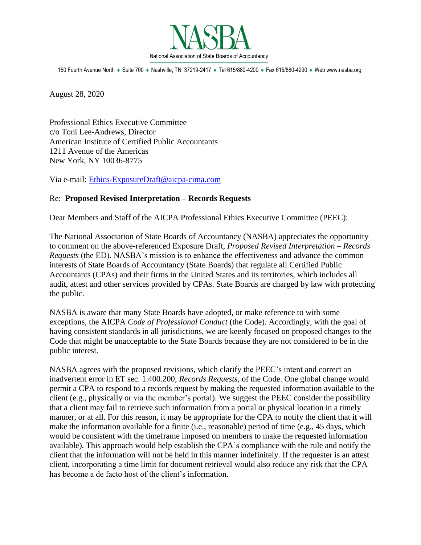

150 Fourth Avenue North · Suite 700 · Nashville, TN 37219-2417 · Tel 615/880-4200 · Fax 615/880-4290 · Web www.nasba.org

August 28, 2020

Professional Ethics Executive Committee c/o Toni Lee-Andrews, Director American Institute of Certified Public Accountants 1211 Avenue of the Americas New York, NY 10036-8775

Via e-mail: [Ethics-ExposureDraft@aicpa-cima.com](mailto:Ethics-ExposureDraft@aicpa-cima.com)

## Re: **Proposed Revised Interpretation – Records Requests**

Dear Members and Staff of the AICPA Professional Ethics Executive Committee (PEEC):

The National Association of State Boards of Accountancy (NASBA) appreciates the opportunity to comment on the above-referenced Exposure Draft, *Proposed Revised Interpretation – Records Requests* (the ED). NASBA's mission is to enhance the effectiveness and advance the common interests of State Boards of Accountancy (State Boards) that regulate all Certified Public Accountants (CPAs) and their firms in the United States and its territories, which includes all audit, attest and other services provided by CPAs. State Boards are charged by law with protecting the public.

NASBA is aware that many State Boards have adopted, or make reference to with some exceptions, the AICPA *Code of Professional Conduct* (the Code). Accordingly, with the goal of having consistent standards in all jurisdictions, we are keenly focused on proposed changes to the Code that might be unacceptable to the State Boards because they are not considered to be in the public interest.

NASBA agrees with the proposed revisions, which clarify the PEEC's intent and correct an inadvertent error in ET sec. 1.400.200, *Records Requests,* of the Code. One global change would permit a CPA to respond to a records request by making the requested information available to the client (e.g., physically or via the member's portal). We suggest the PEEC consider the possibility that a client may fail to retrieve such information from a portal or physical location in a timely manner, or at all. For this reason, it may be appropriate for the CPA to notify the client that it will make the information available for a finite (i.e., reasonable) period of time (e.g., 45 days, which would be consistent with the timeframe imposed on members to make the requested information available). This approach would help establish the CPA's compliance with the rule and notify the client that the information will not be held in this manner indefinitely. If the requester is an attest client, incorporating a time limit for document retrieval would also reduce any risk that the CPA has become a de facto host of the client's information.